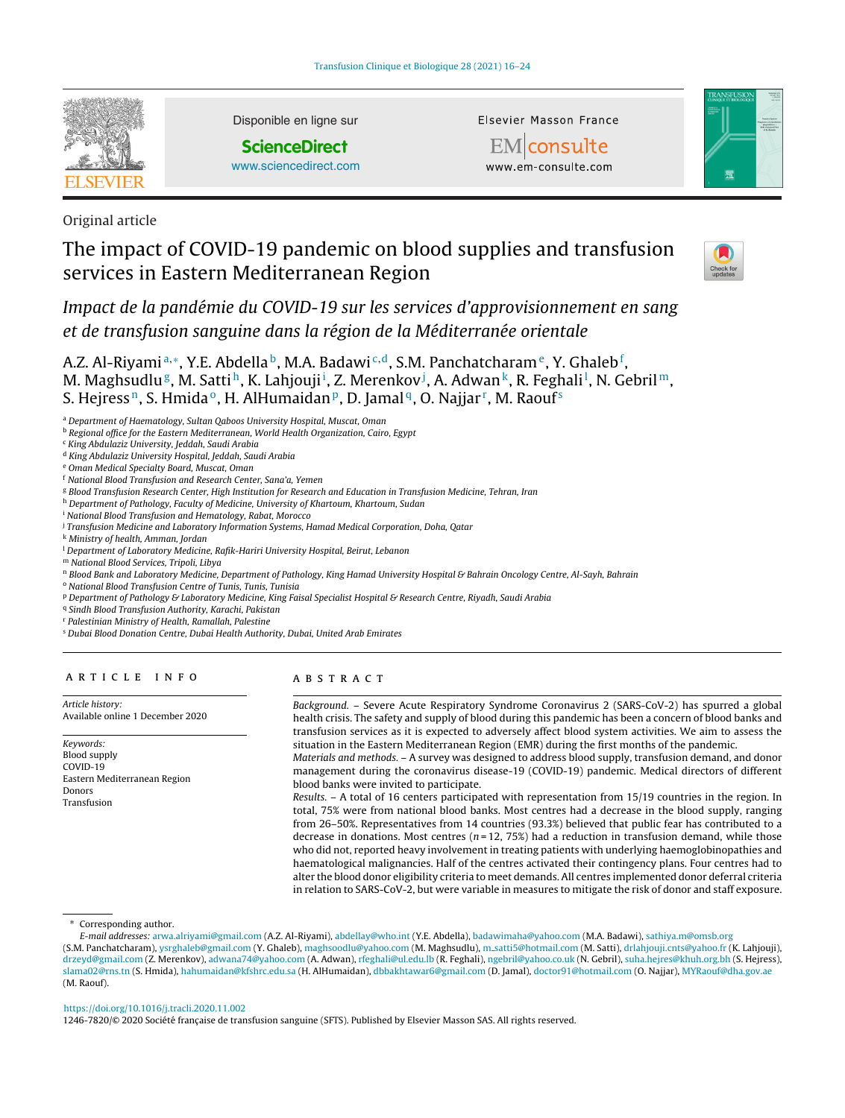

Disponible en ligne sur

**ScienceDirect**

[www.sciencedirect.com](http://www.sciencedirect.com/science/journal/12467820)

Elsevier Masson France





Original article

# The impact of COVID-19 pandemic on blood supplies and transfusion services in Eastern Mediterranean Region



Impact de la pandémie du COVID-19 sur les services d'approvisionnement en sang et de transfusion sanguine dans la région de la Méditerranée orientale

A.Z. Al-Riyamiª,\*, Y.E. Abdella <sup>b</sup>, M.A. Badawi <sup>c,d</sup>, S.M. Panchatcharam <sup>e</sup>, Y. Ghaleb <sup>f</sup>, M. Maghsudlu<sup>g</sup>, M. Sattih, K. Lahjouji<sup>i</sup>, Z. Merenkov<sup>j</sup>, A. Adwan<sup>k</sup>, R. Feghali<sup>l</sup>, N. Gebril<sup>m</sup>, S. Hejress<sup>n</sup>, S. Hmida<sup>o</sup>, H. AlHumaidan<sup>p</sup>, D. Jamal<sup>q</sup>, O. Najjar<sup>r</sup>, M. Raouf<sup>s</sup>

<sup>a</sup> Department of Haematology, Sultan Qaboos University Hospital, Muscat, Oman

**b** Regional office for the Eastern Mediterranean, World Health Organization, Cairo, Egypt

<sup>c</sup> King Abdulaziz University, Jeddah, Saudi Arabia

<sup>d</sup> King Abdulaziz University Hospital, Jeddah, Saudi Arabia

<sup>e</sup> Oman Medical Specialty Board, Muscat, Oman

<sup>f</sup> National Blood Transfusion and Research Center, Sana'a, Yemen

<sup>g</sup> Blood Transfusion Research Center, High Institution for Research and Education in Transfusion Medicine, Tehran, Iran

h Department of Pathology, Faculty of Medicine, University of Khartoum, Khartoum, Sudan

<sup>i</sup> National Blood Transfusion and Hematology, Rabat, Morocco

<sup>j</sup> Transfusion Medicine and Laboratory Information Systems, Hamad Medical Corporation, Doha, Qatar

<sup>k</sup> Ministry of health, Amman, Jordan

<sup>1</sup> Department of Laboratory Medicine, Rafik-Hariri University Hospital, Beirut, Lebanon

<sup>m</sup> National Blood Services, Tripoli, Libya

n Blood Bank and Laboratory Medicine, Department of Pathology, King Hamad University Hospital & Bahrain Oncology Centre, Al-Sayh, Bahrain

<sup>o</sup> National Blood Transfusion Centre of Tunis, Tunis, Tunisia

<sup>p</sup> Department of Pathology & Laboratory Medicine, King Faisal Specialist Hospital & Research Centre, Riyadh, Saudi Arabia

<sup>q</sup> Sindh Blood Transfusion Authority, Karachi, Pakistan

<sup>r</sup> Palestinian Ministry of Health, Ramallah, Palestine

<sup>s</sup> Dubai Blood Donation Centre, Dubai Health Authority, Dubai, United Arab Emirates

# a r t i c l e i n f o

Article history: Available online 1 December 2020

Keywords: Blood supply COVID-19 Eastern Mediterranean Region Donors Transfusion

# A B S T R A C T

Background. – Severe Acute Respiratory Syndrome Coronavirus 2 (SARS-CoV-2) has spurred a global health crisis. The safety and supply of blood during this pandemic has been a concern of blood banks and transfusion services as it is expected to adversely affect blood system activities. We aim to assess the situation in the Eastern Mediterranean Region (EMR) during the first months of the pandemic.

Materials and methods. – A survey was designed to address blood supply, transfusion demand, and donor management during the coronavirus disease-19 (COVID-19) pandemic. Medical directors of different blood banks were invited to participate.

Results. – A total of 16 centers participated with representation from 15/19 countries in the region. In total, 75% were from national blood banks. Most centres had a decrease in the blood supply, ranging from 26–50%. Representatives from 14 countries (93.3%) believed that public fear has contributed to a decrease in donations. Most centres ( $n = 12, 75\%$ ) had a reduction in transfusion demand, while those who did not, reported heavy involvement in treating patients with underlying haemoglobinopathies and haematological malignancies. Half of the centres activated their contingency plans. Four centres had to alter the blood donor eligibility criteria to meet demands. All centres implemented donor deferral criteria in relation to SARS-CoV-2, but were variable in measures to mitigate the risk of donor and staff exposure.

Corresponding author.

# <https://doi.org/10.1016/j.tracli.2020.11.002>

1246-7820/© 2020 Société française de transfusion sanguine (SFTS). Published by Elsevier Masson SAS. All rights reserved.

E-mail addresses: [arwa.alriyami@gmail.com](mailto:arwa.alriyami@gmail.com) (A.Z. Al-Riyami), [abdellay@who.int](mailto:abdellay@who.int) (Y.E. Abdella), [badawimaha@yahoo.com](mailto:badawimaha@yahoo.com) (M.A. Badawi), [sathiya.m@omsb.org](mailto:sathiya.m@omsb.org) (S.M. Panchatcharam), [ysrghaleb@gmail.com](mailto:ysrghaleb@gmail.com) (Y. Ghaleb), [maghsoodlu@yahoo.com](mailto:maghsoodlu@yahoo.com) (M. Maghsudlu), m [satti5@hotmail.com](mailto:m_satti5@hotmail.com) (M. Satti), [drlahjouji.cnts@yahoo.fr](mailto:drlahjouji.cnts@yahoo.fr) (K. Lahjouji), [drzeyd@gmail.com](mailto:drzeyd@gmail.com) (Z. Merenkov), [adwana74@yahoo.com](mailto:adwana74@yahoo.com) (A. Adwan), [rfeghali@ul.edu.lb](mailto:rfeghali@ul.edu.lb) (R. Feghali), [ngebril@yahoo.co.uk](mailto:ngebril@yahoo.co.uk) (N. Gebril), [suha.hejres@khuh.org.bh](mailto:suha.hejres@khuh.org.bh) (S. Hejress), [slama02@rns.tn](mailto:slama02@rns.tn) (S. Hmida), [hahumaidan@kfshrc.edu.sa](mailto:hahumaidan@kfshrc.edu.sa) (H. AlHumaidan), [dbbakhtawar6@gmail.com](mailto:dbbakhtawar6@gmail.com) (D. Jamal), [doctor91@hotmail.com](mailto:doctor91@hotmail.com) (O. Najjar), [MYRaouf@dha.gov.ae](mailto:MYRaouf@dha.gov.ae) (M. Raouf).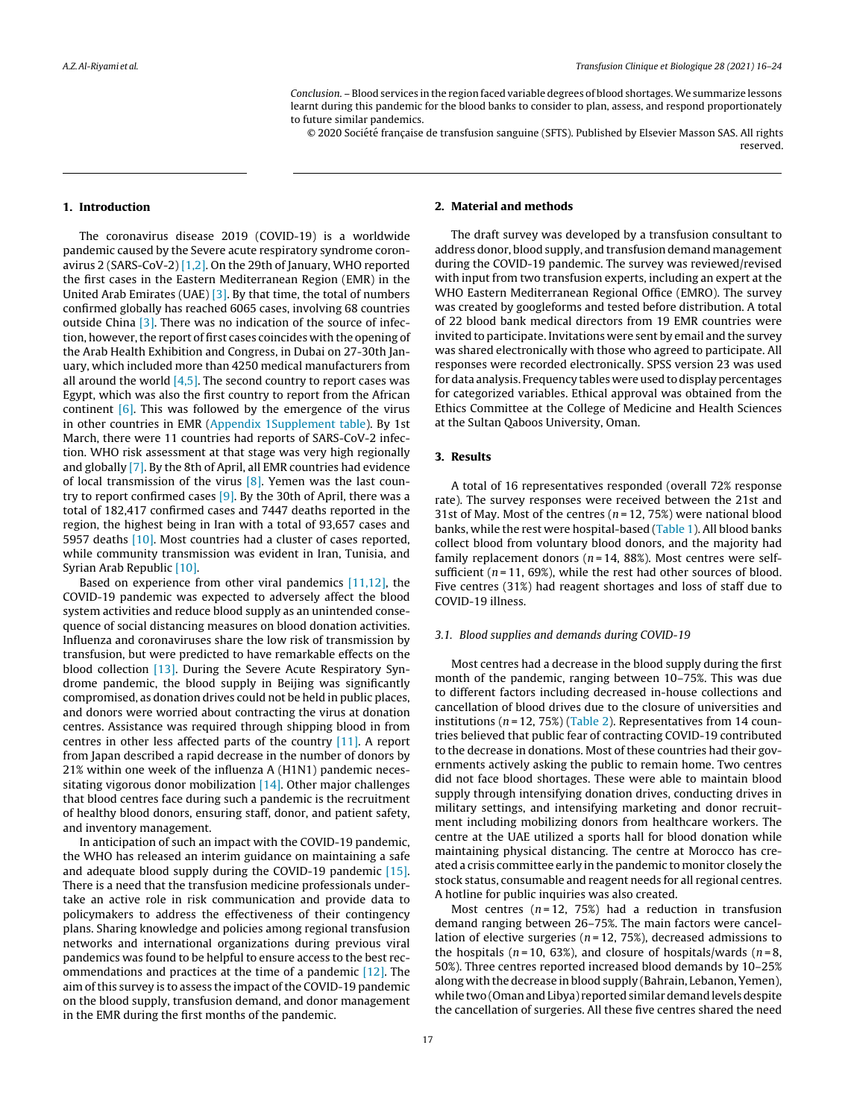Conclusion. – Blood services in the region faced variable degrees of blood shortages.We summarize lessons learnt during this pandemic for the blood banks to consider to plan, assess, and respond proportionately to future similar pandemics.

© 2020 Société française de transfusion sanguine (SFTS). Published by Elsevier Masson SAS. All rights reserved.

#### **1. Introduction**

The coronavirus disease 2019 (COVID-19) is a worldwide pandemic caused by the Severe acute respiratory syndrome coronavirus 2 (SARS-CoV-2) [\[1,2\].](#page-7-0) On the 29th of January, WHO reported the first cases in the Eastern Mediterranean Region (EMR) in the United Arab Emirates (UAE) [\[3\].](#page-7-0) By that time, the total of numbers confirmed globally has reached 6065 cases, involving 68 countries outside China [\[3\].](#page-7-0) There was no indication of the source of infection, however, the report of first cases coincides with the opening of the Arab Health Exhibition and Congress, in Dubai on 27-30th January, which included more than 4250 medical manufacturers from all around the world  $[4,5]$ . The second country to report cases was Egypt, which was also the first country to report from the African continent  $[6]$ . This was followed by the emergence of the virus in other countries in EMR ([Appendix](#page-7-0) [1Supplement](#page-7-0) [table\).](#page-7-0) By 1st March, there were 11 countries had reports of SARS-CoV-2 infection. WHO risk assessment at that stage was very high regionally and globally [\[7\].](#page-7-0) By the 8th of April, all EMR countries had evidence of local transmission of the virus  $[8]$ . Yemen was the last country to report confirmed cases [\[9\].](#page-8-0) By the 30th of April, there was a total of 182,417 confirmed cases and 7447 deaths reported in the region, the highest being in Iran with a total of 93,657 cases and 5957 deaths [\[10\].](#page-8-0) Most countries had a cluster of cases reported, while community transmission was evident in Iran, Tunisia, and Syrian Arab Republic [\[10\].](#page-8-0)

Based on experience from other viral pandemics [\[11,12\],](#page-8-0) the COVID-19 pandemic was expected to adversely affect the blood system activities and reduce blood supply as an unintended consequence of social distancing measures on blood donation activities. Influenza and coronaviruses share the low risk of transmission by transfusion, but were predicted to have remarkable effects on the blood collection [\[13\].](#page-8-0) During the Severe Acute Respiratory Syndrome pandemic, the blood supply in Beijing was significantly compromised, as donation drives could not be held in public places, and donors were worried about contracting the virus at donation centres. Assistance was required through shipping blood in from centres in other less affected parts of the country [\[11\].](#page-8-0) A report from Japan described a rapid decrease in the number of donors by 21% within one week of the influenza A (H1N1) pandemic necessitating vigorous donor mobilization  $[14]$ . Other major challenges that blood centres face during such a pandemic is the recruitment of healthy blood donors, ensuring staff, donor, and patient safety, and inventory management.

In anticipation of such an impact with the COVID-19 pandemic, the WHO has released an interim guidance on maintaining a safe and adequate blood supply during the COVID-19 pandemic [\[15\].](#page-8-0) There is a need that the transfusion medicine professionals undertake an active role in risk communication and provide data to policymakers to address the effectiveness of their contingency plans. Sharing knowledge and policies among regional transfusion networks and international organizations during previous viral pandemics was found to be helpful to ensure access to the best recommendations and practices at the time of a pandemic [\[12\].](#page-8-0) The aim of this survey is to assess the impact of the COVID-19 pandemic on the blood supply, transfusion demand, and donor management in the EMR during the first months of the pandemic.

# **2. Material and methods**

The draft survey was developed by a transfusion consultant to address donor, blood supply, and transfusion demand management during the COVID-19 pandemic. The survey was reviewed/revised with input from two transfusion experts, including an expert at the WHO Eastern Mediterranean Regional Office (EMRO). The survey was created by googleforms and tested before distribution. A total of 22 blood bank medical directors from 19 EMR countries were invited to participate. Invitations were sent by email and the survey was shared electronically with those who agreed to participate. All responses were recorded electronically. SPSS version 23 was used for data analysis. Frequency tables were used to display percentages for categorized variables. Ethical approval was obtained from the Ethics Committee at the College of Medicine and Health Sciences at the Sultan Qaboos University, Oman.

#### **3. Results**

A total of 16 representatives responded (overall 72% response rate). The survey responses were received between the 21st and 31st of May. Most of the centres ( $n = 12, 75\%$ ) were national blood banks, while the rest were hospital-based [\(Table](#page-2-0) 1). All blood banks collect blood from voluntary blood donors, and the majority had family replacement donors ( $n = 14$ , 88%). Most centres were selfsufficient ( $n = 11$ , 69%), while the rest had other sources of blood. Five centres (31%) had reagent shortages and loss of staff due to COVID-19 illness.

#### 3.1. Blood supplies and demands during COVID-19

Most centres had a decrease in the blood supply during the first month of the pandemic, ranging between 10–75%. This was due to different factors including decreased in-house collections and cancellation of blood drives due to the closure of universities and institutions ( $n = 12$ , 75%) [\(Table](#page-2-0) 2). Representatives from 14 countries believed that public fear of contracting COVID-19 contributed to the decrease in donations. Most of these countries had their governments actively asking the public to remain home. Two centres did not face blood shortages. These were able to maintain blood supply through intensifying donation drives, conducting drives in military settings, and intensifying marketing and donor recruitment including mobilizing donors from healthcare workers. The centre at the UAE utilized a sports hall for blood donation while maintaining physical distancing. The centre at Morocco has created a crisis committee early in the pandemic to monitor closely the stock status, consumable and reagent needs for all regional centres. A hotline for public inquiries was also created.

Most centres  $(n = 12, 75%)$  had a reduction in transfusion demand ranging between 26–75%. The main factors were cancellation of elective surgeries ( $n = 12, 75\%$ ), decreased admissions to the hospitals ( $n = 10, 63\%$ ), and closure of hospitals/wards ( $n = 8$ , 50%). Three centres reported increased blood demands by 10–25% along with the decrease in blood supply (Bahrain, Lebanon, Yemen), while two (Oman and Libya) reported similar demand levels despite the cancellation of surgeries. All these five centres shared the need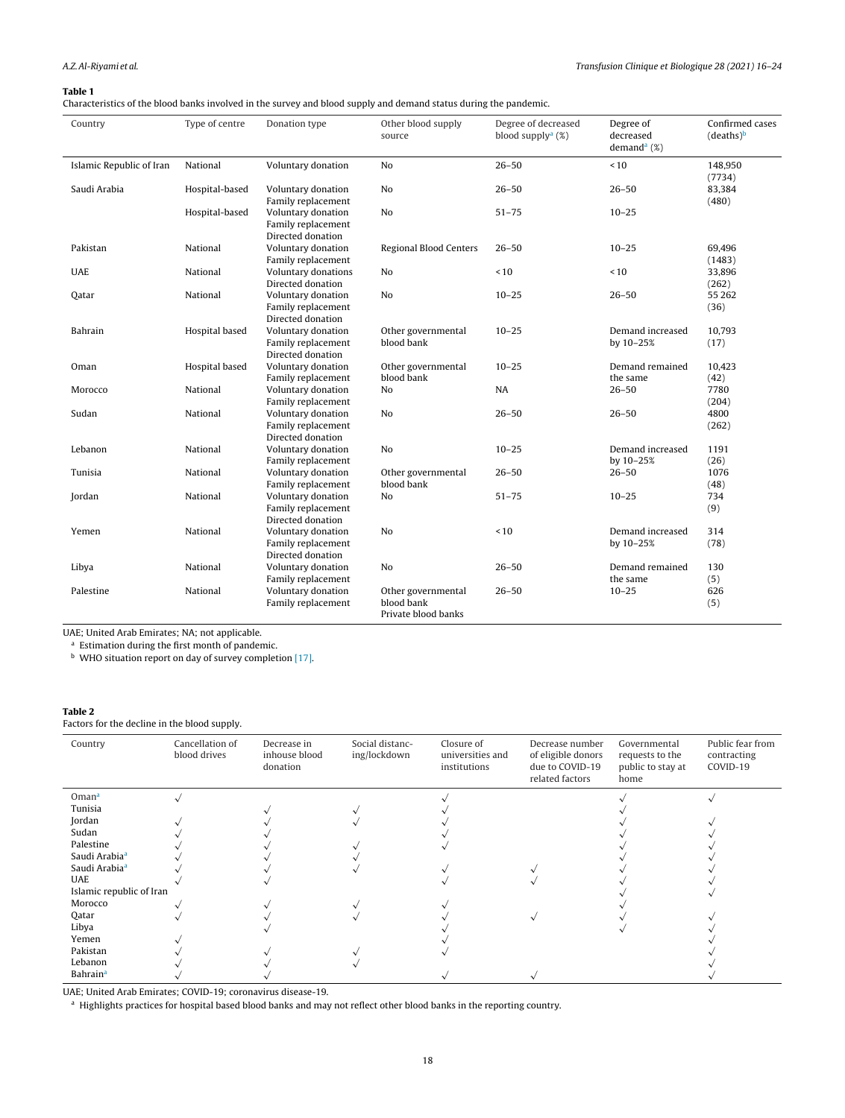### <span id="page-2-0"></span>**Table 1**

Characteristics of the blood banks involved in the survey and blood supply and demand status during the pandemic.

| Country                  | Type of centre | Donation type                                                 | Other blood supply<br>source                            | Degree of decreased<br>blood supply <sup>a</sup> $(\%)$ | Degree of<br>decreased<br>demand <sup>a</sup> $(\%)$ | Confirmed cases<br>(deaths) <sup>b</sup> |
|--------------------------|----------------|---------------------------------------------------------------|---------------------------------------------------------|---------------------------------------------------------|------------------------------------------------------|------------------------------------------|
| Islamic Republic of Iran | National       | Voluntary donation                                            | No                                                      | $26 - 50$                                               | ~10                                                  | 148,950<br>(7734)                        |
| Saudi Arabia             | Hospital-based | Voluntary donation<br>Family replacement                      | No                                                      | $26 - 50$                                               | $26 - 50$                                            | 83,384<br>(480)                          |
|                          | Hospital-based | Voluntary donation<br>Family replacement<br>Directed donation | No                                                      | $51 - 75$                                               | $10 - 25$                                            |                                          |
| Pakistan                 | National       | Voluntary donation<br>Family replacement                      | Regional Blood Centers                                  | $26 - 50$                                               | $10 - 25$                                            | 69,496<br>(1483)                         |
| <b>UAE</b>               | National       | Voluntary donations<br>Directed donation                      | N <sub>o</sub>                                          | ~10                                                     | < 10                                                 | 33,896<br>(262)                          |
| Oatar                    | National       | Voluntary donation<br>Family replacement<br>Directed donation | N <sub>o</sub>                                          | $10 - 25$                                               | $26 - 50$                                            | 55 262<br>(36)                           |
| Bahrain                  | Hospital based | Voluntary donation<br>Family replacement<br>Directed donation | Other governmental<br>blood bank                        | $10 - 25$                                               | Demand increased<br>by 10-25%                        | 10,793<br>(17)                           |
| Oman                     | Hospital based | Voluntary donation<br>Family replacement                      | Other governmental<br>blood bank                        | $10 - 25$                                               | Demand remained<br>the same                          | 10,423<br>(42)                           |
| Morocco                  | National       | Voluntary donation<br>Family replacement                      | N <sub>o</sub>                                          | <b>NA</b>                                               | $26 - 50$                                            | 7780<br>(204)                            |
| Sudan                    | National       | Voluntary donation<br>Family replacement<br>Directed donation | N <sub>o</sub>                                          | $26 - 50$                                               | $26 - 50$                                            | 4800<br>(262)                            |
| Lebanon                  | National       | Voluntary donation<br>Family replacement                      | No                                                      | $10 - 25$                                               | Demand increased<br>by 10-25%                        | 1191<br>(26)                             |
| Tunisia                  | National       | Voluntary donation<br>Family replacement                      | Other governmental<br>blood bank                        | $26 - 50$                                               | $26 - 50$                                            | 1076<br>(48)                             |
| Jordan                   | National       | Voluntary donation<br>Family replacement<br>Directed donation | No                                                      | $51 - 75$                                               | $10 - 25$                                            | 734<br>(9)                               |
| Yemen                    | National       | Voluntary donation<br>Family replacement<br>Directed donation | No                                                      | ~10                                                     | Demand increased<br>by 10-25%                        | 314<br>(78)                              |
| Libya                    | National       | Voluntary donation<br>Family replacement                      | No                                                      | $26 - 50$                                               | Demand remained<br>the same                          | 130<br>(5)                               |
| Palestine                | National       | Voluntary donation<br>Family replacement                      | Other governmental<br>blood bank<br>Private blood banks | $26 - 50$                                               | $10 - 25$                                            | 626<br>(5)                               |

UAE; United Arab Emirates; NA; not applicable.

<sup>a</sup> Estimation during the first month of pandemic.

**b** WHO situation report on day of survey completion [\[17\].](#page-8-0)

# **Table 2**

Factors for the decline in the blood supply.

| Country                     | Cancellation of<br>blood drives | Decrease in<br>inhouse blood<br>donation | Social distanc-<br>ing/lockdown | Closure of<br>universities and<br>institutions | Decrease number<br>of eligible donors<br>due to COVID-19<br>related factors | Governmental<br>requests to the<br>public to stay at<br>home | Public fear from<br>contracting<br>COVID-19 |
|-----------------------------|---------------------------------|------------------------------------------|---------------------------------|------------------------------------------------|-----------------------------------------------------------------------------|--------------------------------------------------------------|---------------------------------------------|
| Omana                       |                                 |                                          |                                 |                                                |                                                                             |                                                              |                                             |
| Tunisia                     |                                 |                                          |                                 |                                                |                                                                             |                                                              |                                             |
| Jordan                      |                                 |                                          |                                 |                                                |                                                                             |                                                              |                                             |
| Sudan                       |                                 |                                          |                                 |                                                |                                                                             |                                                              |                                             |
| Palestine                   |                                 |                                          |                                 |                                                |                                                                             |                                                              |                                             |
| Saudi Arabia <sup>a</sup>   |                                 |                                          |                                 |                                                |                                                                             |                                                              |                                             |
| Saudi Arabia <sup>a</sup>   |                                 |                                          |                                 |                                                |                                                                             |                                                              |                                             |
| <b>UAE</b>                  |                                 |                                          |                                 |                                                |                                                                             |                                                              |                                             |
| Islamic republic of Iran    |                                 |                                          |                                 |                                                |                                                                             |                                                              |                                             |
| Morocco                     |                                 |                                          |                                 |                                                |                                                                             |                                                              |                                             |
| Qatar                       |                                 |                                          |                                 |                                                |                                                                             |                                                              |                                             |
| Libya                       |                                 |                                          |                                 |                                                |                                                                             |                                                              |                                             |
| Yemen                       |                                 |                                          |                                 |                                                |                                                                             |                                                              |                                             |
| Pakistan                    |                                 |                                          |                                 |                                                |                                                                             |                                                              |                                             |
| Lebanon                     |                                 |                                          |                                 |                                                |                                                                             |                                                              |                                             |
| <b>Bahrain</b> <sup>a</sup> |                                 |                                          |                                 |                                                |                                                                             |                                                              |                                             |

UAE; United Arab Emirates; COVID-19; coronavirus disease-19.

<sup>a</sup> Highlights practices for hospital based blood banks and may not reflect other blood banks in the reporting country.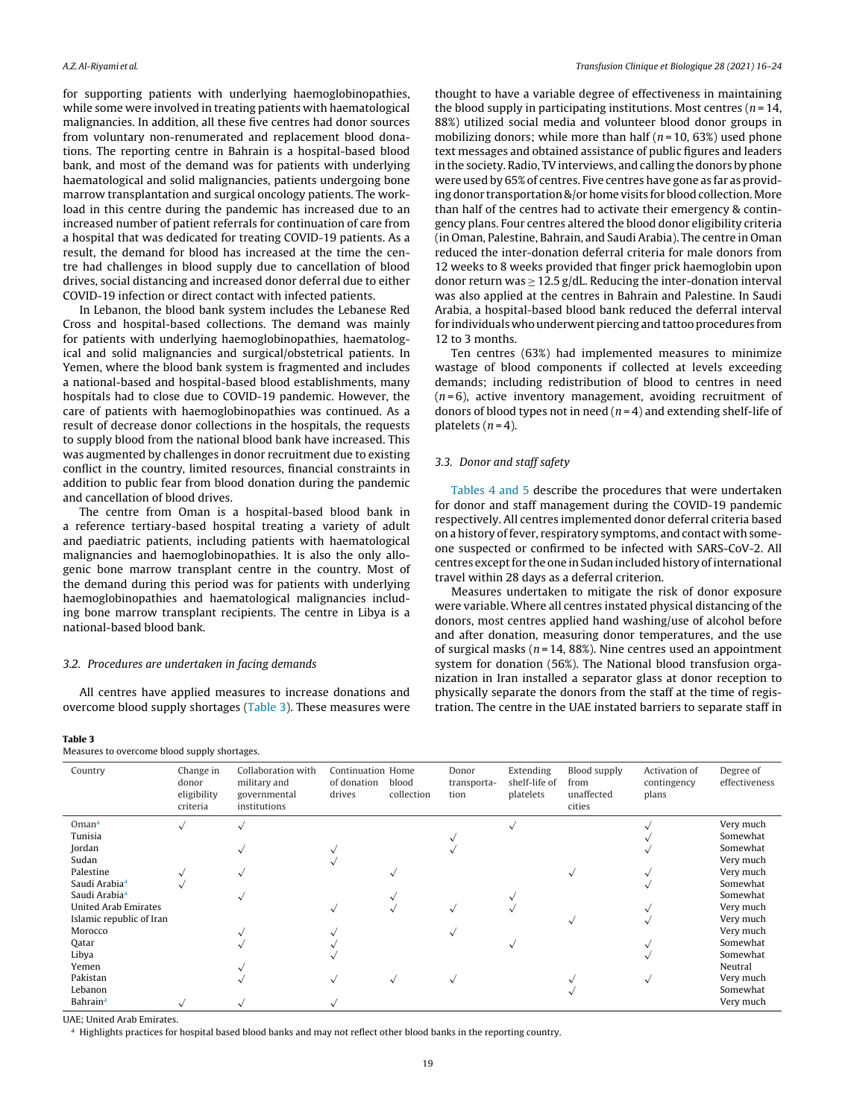for supporting patients with underlying haemoglobinopathies, while some were involved in treating patients with haematological malignancies. In addition, all these five centres had donor sources from voluntary non-renumerated and replacement blood donations. The reporting centre in Bahrain is a hospital-based blood bank, and most of the demand was for patients with underlying haematological and solid malignancies, patients undergoing bone marrow transplantation and surgical oncology patients. The workload in this centre during the pandemic has increased due to an increased number of patient referrals for continuation of care from a hospital that was dedicated for treating COVID-19 patients. As a result, the demand for blood has increased at the time the centre had challenges in blood supply due to cancellation of blood drives, social distancing and increased donor deferral due to either COVID-19 infection or direct contact with infected patients.

In Lebanon, the blood bank system includes the Lebanese Red Cross and hospital-based collections. The demand was mainly for patients with underlying haemoglobinopathies, haematological and solid malignancies and surgical/obstetrical patients. In Yemen, where the blood bank system is fragmented and includes a national-based and hospital-based blood establishments, many hospitals had to close due to COVID-19 pandemic. However, the care of patients with haemoglobinopathies was continued. As a result of decrease donor collections in the hospitals, the requests to supply blood from the national blood bank have increased. This was augmented by challenges in donor recruitment due to existing conflict in the country, limited resources, financial constraints in addition to public fear from blood donation during the pandemic and cancellation of blood drives.

The centre from Oman is a hospital-based blood bank in a reference tertiary-based hospital treating a variety of adult and paediatric patients, including patients with haematological malignancies and haemoglobinopathies. It is also the only allogenic bone marrow transplant centre in the country. Most of the demand during this period was for patients with underlying haemoglobinopathies and haematological malignancies including bone marrow transplant recipients. The centre in Libya is a national-based blood bank.

#### 3.2. Procedures are undertaken in facing demands

All centres have applied measures to increase donations and overcome blood supply shortages (Table 3). These measures were

#### **Table 3**

Measures to overcome blood supply shortages

thought to have a variable degree of effectiveness in maintaining the blood supply in participating institutions. Most centres  $(n = 14)$ , 88%) utilized social media and volunteer blood donor groups in mobilizing donors; while more than half ( $n = 10, 63\%$ ) used phone text messages and obtained assistance of public figures and leaders in the society. Radio, TV interviews, and calling the donors by phone were used by 65% of centres. Five centres have gone as far as providing donor transportation &/or home visits for blood collection. More than half of the centres had to activate their emergency & contingency plans. Four centres altered the blood donor eligibility criteria (in Oman, Palestine, Bahrain, and Saudi Arabia). The centre in Oman reduced the inter-donation deferral criteria for male donors from 12 weeks to 8 weeks provided that finger prick haemoglobin upon donor return was  $\geq 12.5$  g/dL. Reducing the inter-donation interval was also applied at the centres in Bahrain and Palestine. In Saudi Arabia, a hospital-based blood bank reduced the deferral interval for individuals who underwent piercing and tattoo procedures from 12 to 3 months.

Ten centres (63%) had implemented measures to minimize wastage of blood components if collected at levels exceeding demands; including redistribution of blood to centres in need  $(n=6)$ , active inventory management, avoiding recruitment of donors of blood types not in need  $(n=4)$  and extending shelf-life of platelets  $(n=4)$ .

### 3.3. Donor and staff safety

[Tables](#page-4-0) 4 and 5 describe the procedures that were undertaken for donor and staff management during the COVID-19 pandemic respectively. All centres implemented donor deferral criteria based on a history offever, respiratory symptoms, and contact with someone suspected or confirmed to be infected with SARS-CoV-2. All centres except for the one in Sudan included history of international travel within 28 days as a deferral criterion.

Measures undertaken to mitigate the risk of donor exposure were variable. Where all centres instated physical distancing of the donors, most centres applied hand washing/use of alcohol before and after donation, measuring donor temperatures, and the use of surgical masks ( $n = 14$ , 88%). Nine centres used an appointment system for donation (56%). The National blood transfusion organization in Iran installed a separator glass at donor reception to physically separate the donors from the staff at the time of registration. The centre in the UAE instated barriers to separate staff in

| Country                                                                              | Change in<br>donor<br>eligibility<br>criteria | Collaboration with<br>military and<br>governmental<br>institutions | Continuation Home<br>of donation<br>drives | blood<br>collection | Donor<br>transporta-<br>tion | Extending<br>shelf-life of<br>platelets | Blood supply<br>from<br>unaffected<br>cities | Activation of<br>contingency<br>plans | Degree of<br>effectiveness                     |
|--------------------------------------------------------------------------------------|-----------------------------------------------|--------------------------------------------------------------------|--------------------------------------------|---------------------|------------------------------|-----------------------------------------|----------------------------------------------|---------------------------------------|------------------------------------------------|
| $O$ man <sup>a</sup><br>Tunisia<br>Jordan<br>Sudan                                   | $\checkmark$                                  | $\checkmark$                                                       |                                            |                     |                              |                                         |                                              |                                       | Very much<br>Somewhat<br>Somewhat<br>Very much |
| Palestine<br>Saudi Arabia <sup>a</sup>                                               |                                               | $\checkmark$                                                       |                                            |                     |                              |                                         |                                              |                                       | Very much<br>Somewhat                          |
| Saudi Arabia <sup>a</sup><br><b>United Arab Emirates</b><br>Islamic republic of Iran |                                               |                                                                    | $\checkmark$                               |                     | $\sim$                       |                                         |                                              |                                       | Somewhat<br>Very much<br>Very much             |
| Morocco<br>Qatar                                                                     |                                               |                                                                    |                                            |                     |                              |                                         |                                              |                                       | Very much<br>Somewhat                          |
| Libya<br>Yemen<br>Pakistan                                                           |                                               |                                                                    | $\checkmark$                               | $\sim$              | $\sim$                       |                                         |                                              |                                       | Somewhat<br>Neutral<br>Very much               |
| Lebanon<br><b>Bahrain</b> <sup>a</sup>                                               |                                               |                                                                    |                                            |                     |                              |                                         |                                              |                                       | Somewhat<br>Very much                          |

UAE; United Arab Emirates.

<sup>a</sup> Highlights practices for hospital based blood banks and may not reflect other blood banks in the reporting country.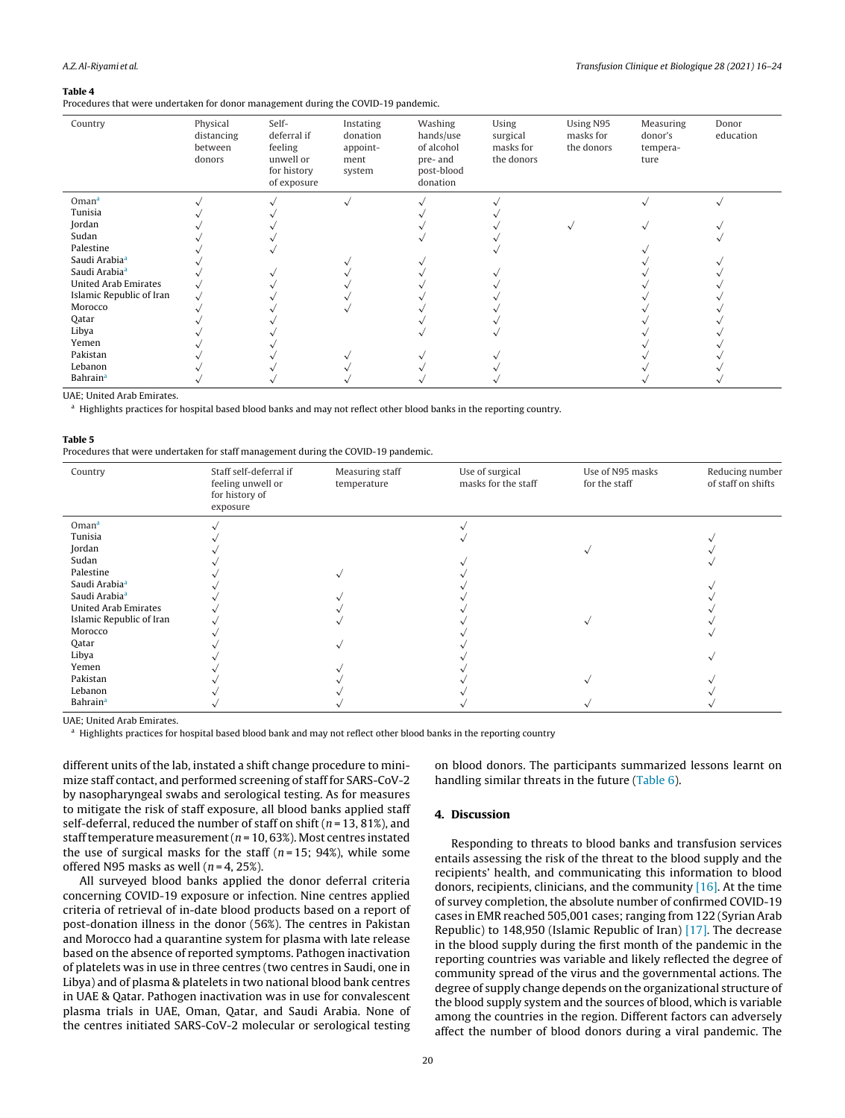#### <span id="page-4-0"></span>**Table 4**

Procedures that were undertaken for donor management during the COVID-19 pandemic.

| Country                     | Physical<br>distancing<br>between<br>donors | Self-<br>deferral if<br>feeling<br>unwell or<br>for history<br>of exposure | Instating<br>donation<br>appoint-<br>ment<br>system | Washing<br>hands/use<br>of alcohol<br>pre- and<br>post-blood<br>donation | Using<br>surgical<br>masks for<br>the donors | Using N95<br>masks for<br>the donors | Measuring<br>donor's<br>tempera-<br>ture | Donor<br>education |
|-----------------------------|---------------------------------------------|----------------------------------------------------------------------------|-----------------------------------------------------|--------------------------------------------------------------------------|----------------------------------------------|--------------------------------------|------------------------------------------|--------------------|
| Omana                       |                                             |                                                                            |                                                     |                                                                          |                                              |                                      |                                          |                    |
| Tunisia                     |                                             |                                                                            |                                                     |                                                                          |                                              |                                      |                                          |                    |
| Jordan                      |                                             |                                                                            |                                                     |                                                                          |                                              |                                      |                                          |                    |
| Sudan                       |                                             |                                                                            |                                                     |                                                                          |                                              |                                      |                                          |                    |
| Palestine                   |                                             |                                                                            |                                                     |                                                                          |                                              |                                      |                                          |                    |
| Saudi Arabia <sup>a</sup>   |                                             |                                                                            |                                                     |                                                                          |                                              |                                      |                                          |                    |
| Saudi Arabia <sup>a</sup>   |                                             |                                                                            |                                                     |                                                                          |                                              |                                      |                                          |                    |
| <b>United Arab Emirates</b> |                                             |                                                                            |                                                     |                                                                          |                                              |                                      |                                          |                    |
| Islamic Republic of Iran    |                                             |                                                                            |                                                     |                                                                          |                                              |                                      |                                          |                    |
| Morocco                     |                                             |                                                                            |                                                     |                                                                          |                                              |                                      |                                          |                    |
| Qatar                       |                                             |                                                                            |                                                     |                                                                          |                                              |                                      |                                          |                    |
| Libya                       |                                             |                                                                            |                                                     |                                                                          |                                              |                                      |                                          |                    |
| Yemen                       |                                             |                                                                            |                                                     |                                                                          |                                              |                                      |                                          |                    |
| Pakistan                    |                                             |                                                                            |                                                     |                                                                          |                                              |                                      |                                          |                    |
| Lebanon                     |                                             |                                                                            |                                                     |                                                                          |                                              |                                      |                                          |                    |
| <b>Bahrain</b> <sup>a</sup> |                                             |                                                                            |                                                     |                                                                          |                                              |                                      |                                          |                    |

UAE; United Arab Emirates.

<sup>a</sup> Highlights practices for hospital based blood banks and may not reflect other blood banks in the reporting country.

#### **Table 5**

Procedures that were undertaken for staff management during the COVID-19 pandemic.

| Country                     | Staff self-deferral if<br>feeling unwell or<br>for history of<br>exposure | Measuring staff<br>temperature | Use of surgical<br>masks for the staff | Use of N95 masks<br>for the staff | Reducing number<br>of staff on shifts |
|-----------------------------|---------------------------------------------------------------------------|--------------------------------|----------------------------------------|-----------------------------------|---------------------------------------|
| $O$ man <sup>a</sup>        |                                                                           |                                |                                        |                                   |                                       |
| Tunisia                     |                                                                           |                                |                                        |                                   |                                       |
| Jordan                      |                                                                           |                                |                                        |                                   |                                       |
| Sudan                       |                                                                           |                                |                                        |                                   |                                       |
| Palestine                   |                                                                           |                                |                                        |                                   |                                       |
| Saudi Arabia <sup>a</sup>   |                                                                           |                                |                                        |                                   |                                       |
| Saudi Arabia <sup>a</sup>   |                                                                           |                                |                                        |                                   |                                       |
| <b>United Arab Emirates</b> |                                                                           |                                |                                        |                                   |                                       |
| Islamic Republic of Iran    |                                                                           |                                |                                        |                                   |                                       |
| Morocco                     |                                                                           |                                |                                        |                                   |                                       |
| Qatar                       |                                                                           |                                |                                        |                                   |                                       |
| Libya                       |                                                                           |                                |                                        |                                   |                                       |
| Yemen                       |                                                                           |                                |                                        |                                   |                                       |
| Pakistan                    |                                                                           |                                |                                        |                                   |                                       |
| Lebanon                     |                                                                           |                                |                                        |                                   |                                       |
| <b>Bahrain</b> <sup>a</sup> |                                                                           |                                |                                        |                                   |                                       |
|                             |                                                                           |                                |                                        |                                   |                                       |

UAE; United Arab Emirates.

<sup>a</sup> Highlights practices for hospital based blood bank and may not reflect other blood banks in the reporting country

different units of the lab, instated a shift change procedure to minimize staff contact, and performed screening of staff for SARS-CoV-2 by nasopharyngeal swabs and serological testing. As for measures to mitigate the risk of staff exposure, all blood banks applied staff self-deferral, reduced the number of staff on shift ( $n = 13, 81\%$ ), and staff temperature measurement ( $n = 10,63\%$ ). Most centres instated the use of surgical masks for the staff  $(n=15; 94%)$ , while some offered N95 masks as well ( $n = 4$ , 25%).

All surveyed blood banks applied the donor deferral criteria concerning COVID-19 exposure or infection. Nine centres applied criteria of retrieval of in-date blood products based on a report of post-donation illness in the donor (56%). The centres in Pakistan and Morocco had a quarantine system for plasma with late release based on the absence of reported symptoms. Pathogen inactivation of platelets was in use in three centres (two centres in Saudi, one in Libya) and of plasma & platelets in two national blood bank centres in UAE & Qatar. Pathogen inactivation was in use for convalescent plasma trials in UAE, Oman, Qatar, and Saudi Arabia. None of the centres initiated SARS-CoV-2 molecular or serological testing

on blood donors. The participants summarized lessons learnt on handling similar threats in the future ([Table](#page-5-0) 6).

#### **4. Discussion**

Responding to threats to blood banks and transfusion services entails assessing the risk of the threat to the blood supply and the recipients' health, and communicating this information to blood donors, recipients, clinicians, and the community [\[16\].](#page-8-0) At the time of survey completion, the absolute number of confirmed COVID-19 cases in EMR reached 505,001 cases; ranging from 122 (Syrian Arab Republic) to 148,950 (Islamic Republic of Iran) [\[17\].](#page-8-0) The decrease in the blood supply during the first month of the pandemic in the reporting countries was variable and likely reflected the degree of community spread of the virus and the governmental actions. The degree of supply change depends on the organizational structure of the blood supply system and the sources of blood, which is variable among the countries in the region. Different factors can adversely affect the number of blood donors during a viral pandemic. The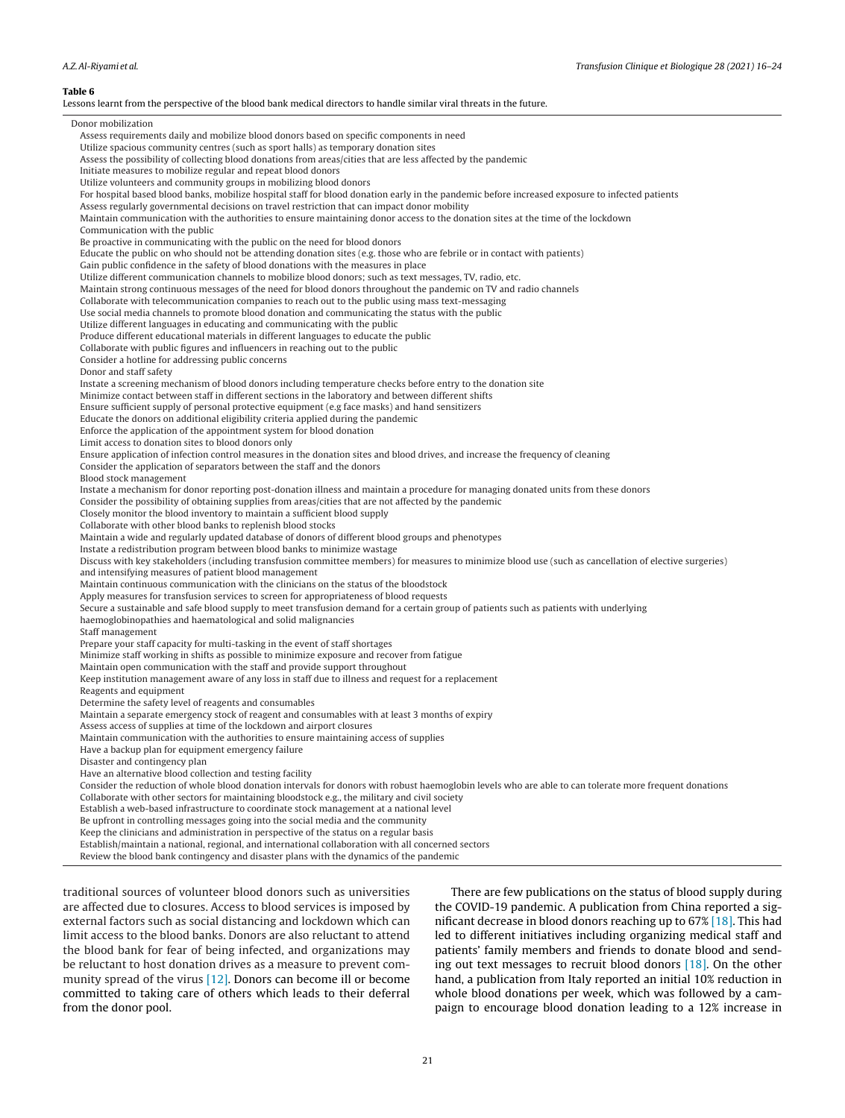<span id="page-5-0"></span>A.Z.Al-Riyami et al. Transfusion Clinique et Biologique 28 (2021) 16–24 **Table 6** Lessons learnt from the perspective of the blood bank medical directors to handle similar viral threats in the future. Donor mobilization Assess requirements daily and mobilize blood donors based on specific components in need Utilize spacious community centres (such as sport halls) as temporary donation sites Assess the possibility of collecting blood donations from areas/cities that are less affected by the pandemic Initiate measures to mobilize regular and repeat blood donors Utilize volunteers and community groups in mobilizing blood donors For hospital based blood banks, mobilize hospital staff for blood donation early in the pandemic before increased exposure to infected patients Assess regularly governmental decisions on travel restriction that can impact donor mobility Maintain communication with the authorities to ensure maintaining donor access to the donation sites at the time of the lockdown Communication with the public Be proactive in communicating with the public on the need for blood donors Educate the public on who should not be attending donation sites (e.g. those who are febrile or in contact with patients) Gain public confidence in the safety of blood donations with the measures in place Utilize different communication channels to mobilize blood donors; such as text messages, TV, radio, etc. Maintain strong continuous messages of the need for blood donors throughout the pandemic on TV and radio channels Collaborate with telecommunication companies to reach out to the public using mass text-messaging Use social media channels to promote blood donation and communicating the status with the public Utilize different languages in educating and communicating with the public Produce different educational materials in different languages to educate the public Collaborate with public figures and influencers in reaching out to the public Consider a hotline for addressing public concerns Donor and staff safety Instate a screening mechanism of blood donors including temperature checks before entry to the donation site Minimize contact between staff in different sections in the laboratory and between different shifts Ensure sufficient supply of personal protective equipment (e.g face masks) and hand sensitizers Educate the donors on additional eligibility criteria applied during the pandemic Enforce the application of the appointment system for blood donation Limit access to donation sites to blood donors only Ensure application of infection control measures in the donation sites and blood drives, and increase the frequency of cleaning Consider the application of separators between the staff and the donors Blood stock management Instate a mechanism for donor reporting post-donation illness and maintain a procedure for managing donated units from these donors Consider the possibility of obtaining supplies from areas/cities that are not affected by the pandemic Closely monitor the blood inventory to maintain a sufficient blood supply Collaborate with other blood banks to replenish blood stocks Maintain a wide and regularly updated database of donors of different blood groups and phenotypes Instate a redistribution program between blood banks to minimize wastage Discuss with key stakeholders (including transfusion committee members) for measures to minimize blood use (such as cancellation of elective surgeries) and intensifying measures of patient blood management Maintain continuous communication with the clinicians on the status of the bloodstock Apply measures for transfusion services to screen for appropriateness of blood requests Secure a sustainable and safe blood supply to meet transfusion demand for a certain group of patients such as patients with underlying haemoglobinopathies and haematological and solid malignancies Staff management Prepare your staff capacity for multi-tasking in the event of staff shortages Minimize staff working in shifts as possible to minimize exposure and recover from fatigue Maintain open communication with the staff and provide support throughout Keep institution management aware of any loss in staff due to illness and request for a replacement Reagents and equipment Determine the safety level of reagents and consumables Maintain a separate emergency stock of reagent and consumables with at least 3 months of expiry Assess access of supplies at time of the lockdown and airport closures Maintain communication with the authorities to ensure maintaining access of supplies Have a backup plan for equipment emergency failure Disaster and contingency plan Have an alternative blood collection and testing facility Consider the reduction of whole blood donation intervals for donors with robust haemoglobin levels who are able to can tolerate more frequent donations Collaborate with other sectors for maintaining bloodstock e.g., the military and civil society Establish a web-based infrastructure to coordinate stock management at a national level Be upfront in controlling messages going into the social media and the community Keep the clinicians and administration in perspective of the status on a regular basis Establish/maintain a national, regional, and international collaboration with all concerned sectors Review the blood bank contingency and disaster plans with the dynamics of the pandemic traditional sources of volunteer blood donors such as universities

are affected due to closures. Access to blood services is imposed by external factors such as social distancing and lockdown which can limit access to the blood banks. Donors are also reluctant to attend the blood bank for fear of being infected, and organizations may be reluctant to host donation drives as a measure to prevent community spread of the virus [\[12\].](#page-8-0) Donors can become ill or become committed to taking care of others which leads to their deferral from the donor pool.

There are few publications on the status of blood supply during the COVID-19 pandemic. A publication from China reported a significant decrease in blood donors reaching up to 67% [\[18\].](#page-8-0) This had led to different initiatives including organizing medical staff and patients' family members and friends to donate blood and sending out text messages to recruit blood donors [\[18\].](#page-8-0) On the other hand, a publication from Italy reported an initial 10% reduction in whole blood donations per week, which was followed by a campaign to encourage blood donation leading to a 12% increase in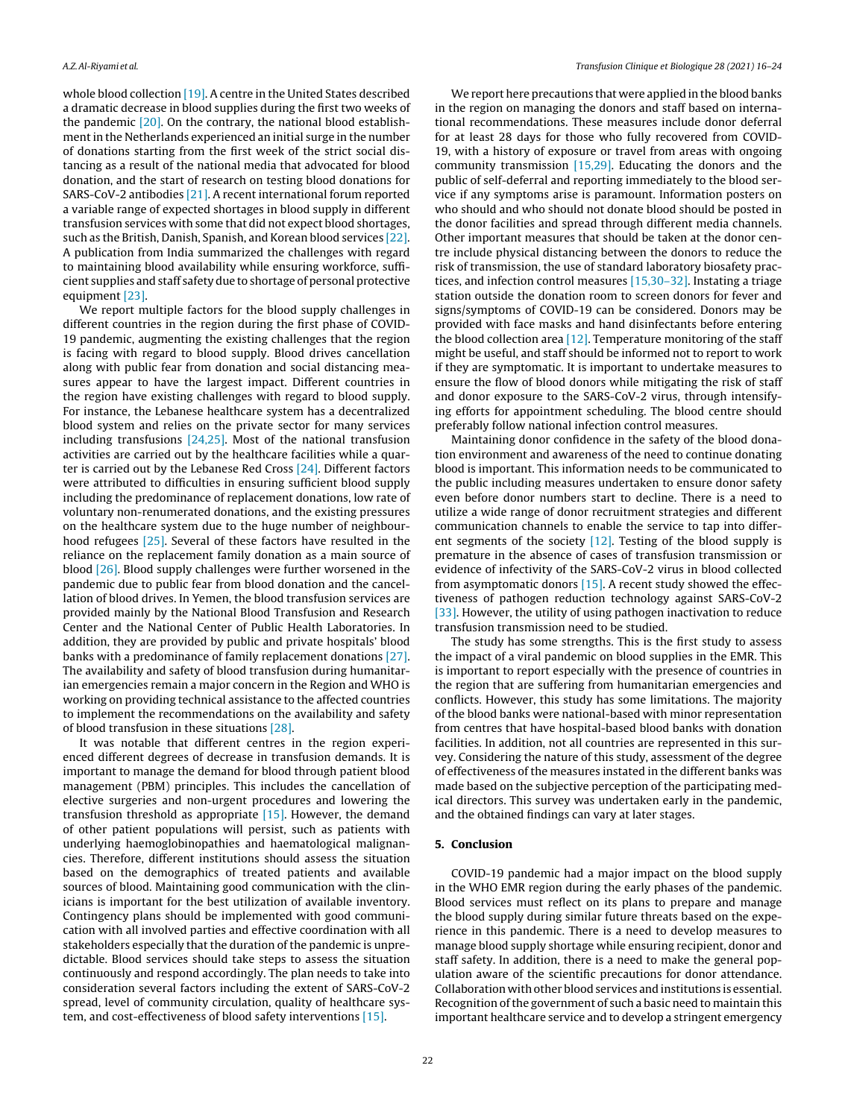whole blood collection [\[19\].](#page-8-0) A centre in the United States described a dramatic decrease in blood supplies during the first two weeks of the pandemic [\[20\].](#page-8-0) On the contrary, the national blood establishment in the Netherlands experienced an initial surge in the number of donations starting from the first week of the strict social distancing as a result of the national media that advocated for blood donation, and the start of research on testing blood donations for SARS-CoV-2 antibodies [\[21\].](#page-8-0) A recent international forum reported a variable range of expected shortages in blood supply in different transfusion services with some that did not expect blood shortages, such as the British, Danish, Spanish, and Korean blood services [\[22\].](#page-8-0) A publication from India summarized the challenges with regard to maintaining blood availability while ensuring workforce, sufficient supplies and staff safety due to shortage of personal protective equipment [\[23\].](#page-8-0)

We report multiple factors for the blood supply challenges in different countries in the region during the first phase of COVID-19 pandemic, augmenting the existing challenges that the region is facing with regard to blood supply. Blood drives cancellation along with public fear from donation and social distancing measures appear to have the largest impact. Different countries in the region have existing challenges with regard to blood supply. For instance, the Lebanese healthcare system has a decentralized blood system and relies on the private sector for many services including transfusions [\[24,25\].](#page-8-0) Most of the national transfusion activities are carried out by the healthcare facilities while a quarter is carried out by the Lebanese Red Cross [\[24\].](#page-8-0) Different factors were attributed to difficulties in ensuring sufficient blood supply including the predominance of replacement donations, low rate of voluntary non-renumerated donations, and the existing pressures on the healthcare system due to the huge number of neighbourhood refugees [\[25\].](#page-8-0) Several of these factors have resulted in the reliance on the replacement family donation as a main source of blood [\[26\].](#page-8-0) Blood supply challenges were further worsened in the pandemic due to public fear from blood donation and the cancellation of blood drives. In Yemen, the blood transfusion services are provided mainly by the National Blood Transfusion and Research Center and the National Center of Public Health Laboratories. In addition, they are provided by public and private hospitals' blood banks with a predominance of family replacement donations [\[27\].](#page-8-0) The availability and safety of blood transfusion during humanitarian emergencies remain a major concern in the Region and WHO is working on providing technical assistance to the affected countries to implement the recommendations on the availability and safety of blood transfusion in these situations [\[28\].](#page-8-0)

It was notable that different centres in the region experienced different degrees of decrease in transfusion demands. It is important to manage the demand for blood through patient blood management (PBM) principles. This includes the cancellation of elective surgeries and non-urgent procedures and lowering the transfusion threshold as appropriate [\[15\].](#page-8-0) However, the demand of other patient populations will persist, such as patients with underlying haemoglobinopathies and haematological malignancies. Therefore, different institutions should assess the situation based on the demographics of treated patients and available sources of blood. Maintaining good communication with the clinicians is important for the best utilization of available inventory. Contingency plans should be implemented with good communication with all involved parties and effective coordination with all stakeholders especially that the duration of the pandemic is unpredictable. Blood services should take steps to assess the situation continuously and respond accordingly. The plan needs to take into consideration several factors including the extent of SARS-CoV-2 spread, level of community circulation, quality of healthcare system, and cost-effectiveness of blood safety interventions [\[15\].](#page-8-0)

We report here precautions that were applied in the blood banks in the region on managing the donors and staff based on international recommendations. These measures include donor deferral for at least 28 days for those who fully recovered from COVID-19, with a history of exposure or travel from areas with ongoing community transmission [\[15,29\].](#page-8-0) Educating the donors and the public of self-deferral and reporting immediately to the blood service if any symptoms arise is paramount. Information posters on who should and who should not donate blood should be posted in the donor facilities and spread through different media channels. Other important measures that should be taken at the donor centre include physical distancing between the donors to reduce the risk of transmission, the use of standard laboratory biosafety practices, and infection control measures [\[15,30–32\].](#page-8-0) Instating a triage station outside the donation room to screen donors for fever and signs/symptoms of COVID-19 can be considered. Donors may be provided with face masks and hand disinfectants before entering the blood collection area  $[12]$ . Temperature monitoring of the staff might be useful, and staff should be informed not to report to work if they are symptomatic. It is important to undertake measures to ensure the flow of blood donors while mitigating the risk of staff and donor exposure to the SARS-CoV-2 virus, through intensifying efforts for appointment scheduling. The blood centre should preferably follow national infection control measures.

Maintaining donor confidence in the safety of the blood donation environment and awareness of the need to continue donating blood is important. This information needs to be communicated to the public including measures undertaken to ensure donor safety even before donor numbers start to decline. There is a need to utilize a wide range of donor recruitment strategies and different communication channels to enable the service to tap into different segments of the society  $[12]$ . Testing of the blood supply is premature in the absence of cases of transfusion transmission or evidence of infectivity of the SARS-CoV-2 virus in blood collected from asymptomatic donors [\[15\].](#page-8-0) A recent study showed the effectiveness of pathogen reduction technology against SARS-CoV-2 [\[33\].](#page-8-0) However, the utility of using pathogen inactivation to reduce transfusion transmission need to be studied.

The study has some strengths. This is the first study to assess the impact of a viral pandemic on blood supplies in the EMR. This is important to report especially with the presence of countries in the region that are suffering from humanitarian emergencies and conflicts. However, this study has some limitations. The majority of the blood banks were national-based with minor representation from centres that have hospital-based blood banks with donation facilities. In addition, not all countries are represented in this survey. Considering the nature of this study, assessment of the degree of effectiveness of the measures instated in the different banks was made based on the subjective perception of the participating medical directors. This survey was undertaken early in the pandemic, and the obtained findings can vary at later stages.

# **5. Conclusion**

COVID-19 pandemic had a major impact on the blood supply in the WHO EMR region during the early phases of the pandemic. Blood services must reflect on its plans to prepare and manage the blood supply during similar future threats based on the experience in this pandemic. There is a need to develop measures to manage blood supply shortage while ensuring recipient, donor and staff safety. In addition, there is a need to make the general population aware of the scientific precautions for donor attendance. Collaboration with other blood services and institutions is essential. Recognition of the government of such a basic need to maintain this important healthcare service and to develop a stringent emergency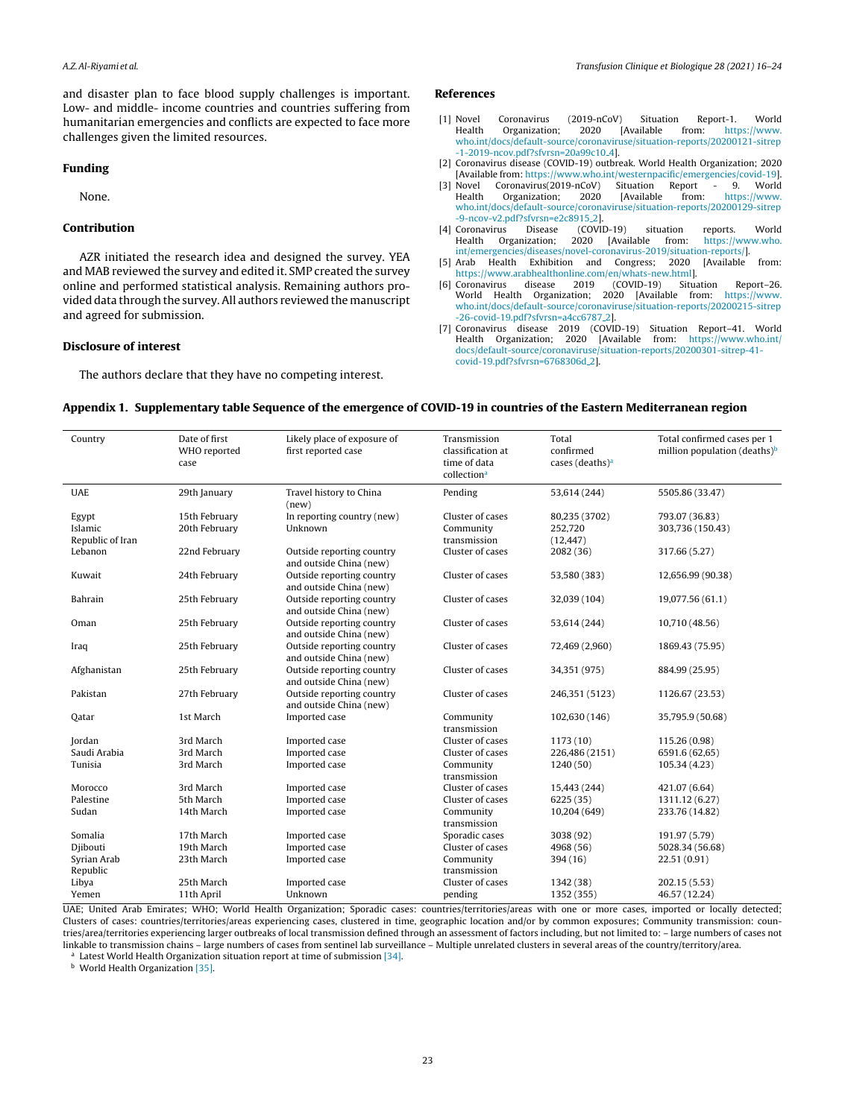<span id="page-7-0"></span>and disaster plan to face blood supply challenges is important. Low- and middle- income countries and countries suffering from humanitarian emergencies and conflicts are expected to face more challenges given the limited resources.

### **Funding**

None.

# **Contribution**

AZR initiated the research idea and designed the survey. YEA and MAB reviewed the survey and edited it. SMP created the survey online and performed statistical analysis. Remaining authors provided data through the survey.All authors reviewed the manuscript and agreed for submission.

#### **Disclosure of interest**

The authors declare that they have no competing interest.

## **References**

- [1] Novel Coronavirus (2019-nCoV) Situation Report-1. World Health Organization; 2020 [Available from: [https://www.](https://www.who.int/docs/default-source/coronaviruse/situation-reports/20200121-sitrep-1-2019-ncov.pdf?sfvrsn=20a99c10_4) [who.int/docs/default-source/coronaviruse/situation-reports/20200121-sitrep](https://www.who.int/docs/default-source/coronaviruse/situation-reports/20200121-sitrep-1-2019-ncov.pdf?sfvrsn=20a99c10_4) [-1-2019-ncov.pdf?sfvrsn=20a99c10](https://www.who.int/docs/default-source/coronaviruse/situation-reports/20200121-sitrep-1-2019-ncov.pdf?sfvrsn=20a99c10_4) 4].
- [2] Coronavirus disease (COVID-19) outbreak. World Health Organization; 2020 [Available from: <https://www.who.int/westernpacific/emergencies/covid-19>].
- Novel Coronavirus(2019-nCoV) Situation Report 9. World<br>Health Organization; 2020 [Available from: https://www. Organization; [who.int/docs/default-source/coronaviruse/situation-reports/20200129-sitrep](https://www.who.int/docs/default-source/coronaviruse/situation-reports/20200129-sitrep-9-ncov-v2.pdf?sfvrsn=e2c8915_2) [-9-ncov-v2.pdf?sfvrsn=e2c8915](https://www.who.int/docs/default-source/coronaviruse/situation-reports/20200129-sitrep-9-ncov-v2.pdf?sfvrsn=e2c8915_2)\_2].<br>Coronavirus Disease (COVID-19)
- [4] Coronavirus Disease (COVID-19) situation reports. World [https://www.who.](https://www.who.int/emergencies/diseases/novel-coronavirus-2019/situation-reports/) [int/emergencies/diseases/novel-coronavirus-2019/situation-reports/](https://www.who.int/emergencies/diseases/novel-coronavirus-2019/situation-reports/)].
- [5] Arab Health Exhibition and Congress; 2020 [Available from: [https://www.arabhealthonline.com/en/whats-new.html\]](https://www.arabhealthonline.com/en/whats-new.html).<br>Coronavirus disease 2019 (COVID-19) Situation
- [6] Coronavirus disease 2019 (COVID-19) Situation Report–26. 2020 [Available from: [https://www.](https://www.who.int/docs/default-source/coronaviruse/situation-reports/20200215-sitrep-26-covid-19.pdf?sfvrsn=a4cc6787_2) [who.int/docs/default-source/coronaviruse/situation-reports/20200215-sitrep](https://www.who.int/docs/default-source/coronaviruse/situation-reports/20200215-sitrep-26-covid-19.pdf?sfvrsn=a4cc6787_2) [-26-covid-19.pdf?sfvrsn=a4cc6787](https://www.who.int/docs/default-source/coronaviruse/situation-reports/20200215-sitrep-26-covid-19.pdf?sfvrsn=a4cc6787_2) 2].
- [7] Coronavirus disease 2019 (COVID-19) Situation Report–41. World Health Organization; 2020 [docs/default-source/coronaviruse/situation-reports/20200301-sitrep-41](https://www.who.int/docs/default-source/coronaviruse/situation-reports/20200301-sitrep-41-covid-19.pdf?sfvrsn=6768306d_2) [covid-19.pdf?sfvrsn=6768306d](https://www.who.int/docs/default-source/coronaviruse/situation-reports/20200301-sitrep-41-covid-19.pdf?sfvrsn=6768306d_2) 2].

#### Appendix 1. Supplementary table Sequence of the emergence of COVID-19 in countries of the Eastern Mediterranean region

| Country                              | Date of first<br>WHO reported<br>case | Likely place of exposure of<br>first reported case   | Transmission<br>classification at<br>time of data<br>collection <sup>a</sup> | Total<br>confirmed<br>cases (deaths) <sup>a</sup> | Total confirmed cases per 1<br>million population (deaths) $b$ |
|--------------------------------------|---------------------------------------|------------------------------------------------------|------------------------------------------------------------------------------|---------------------------------------------------|----------------------------------------------------------------|
| <b>UAE</b>                           | 29th January                          | Travel history to China<br>(new)                     | Pending                                                                      | 53,614 (244)                                      | 5505.86 (33.47)                                                |
| Egypt<br>Islamic<br>Republic of Iran | 15th February<br>20th February        | In reporting country (new)<br>Unknown                | Cluster of cases<br>Community<br>transmission                                | 80,235 (3702)<br>252,720<br>(12, 447)             | 793.07 (36.83)<br>303,736 (150.43)                             |
| Lebanon                              | 22nd February                         | Outside reporting country<br>and outside China (new) | Cluster of cases                                                             | 2082 (36)                                         | 317.66 (5.27)                                                  |
| Kuwait                               | 24th February                         | Outside reporting country<br>and outside China (new) | Cluster of cases                                                             | 53,580 (383)                                      | 12,656.99 (90.38)                                              |
| Bahrain                              | 25th February                         | Outside reporting country<br>and outside China (new) | Cluster of cases                                                             | 32,039 (104)                                      | 19,077.56 (61.1)                                               |
| Oman                                 | 25th February                         | Outside reporting country<br>and outside China (new) | Cluster of cases                                                             | 53,614 (244)                                      | 10,710 (48.56)                                                 |
| Iraq                                 | 25th February                         | Outside reporting country<br>and outside China (new) | Cluster of cases                                                             | 72,469 (2,960)                                    | 1869.43 (75.95)                                                |
| Afghanistan                          | 25th February                         | Outside reporting country<br>and outside China (new) | Cluster of cases                                                             | 34,351 (975)                                      | 884.99 (25.95)                                                 |
| Pakistan                             | 27th February                         | Outside reporting country<br>and outside China (new) | Cluster of cases                                                             | 246,351 (5123)                                    | 1126.67 (23.53)                                                |
| Oatar                                | 1st March                             | Imported case                                        | Community<br>transmission                                                    | 102,630 (146)                                     | 35,795.9 (50.68)                                               |
| Jordan                               | 3rd March                             | Imported case                                        | Cluster of cases                                                             | 1173(10)                                          | 115.26 (0.98)                                                  |
| Saudi Arabia                         | 3rd March                             | Imported case                                        | Cluster of cases                                                             | 226,486 (2151)                                    | 6591.6 (62,65)                                                 |
| Tunisia                              | 3rd March                             | Imported case                                        | Community<br>transmission                                                    | 1240(50)                                          | 105.34 (4.23)                                                  |
| Morocco                              | 3rd March                             | Imported case                                        | Cluster of cases                                                             | 15,443 (244)                                      | 421.07 (6.64)                                                  |
| Palestine                            | 5th March                             | Imported case                                        | Cluster of cases                                                             | 6225(35)                                          | 1311.12 (6.27)                                                 |
| Sudan                                | 14th March                            | Imported case                                        | Community<br>transmission                                                    | 10,204 (649)                                      | 233.76 (14.82)                                                 |
| Somalia                              | 17th March                            | Imported case                                        | Sporadic cases                                                               | 3038 (92)                                         | 191.97 (5.79)                                                  |
| Djibouti                             | 19th March                            | Imported case                                        | Cluster of cases                                                             | 4968 (56)                                         | 5028.34 (56.68)                                                |
| Syrian Arab                          | 23th March                            | Imported case                                        | Community                                                                    | 394(16)                                           | 22.51 (0.91)                                                   |
| Republic                             |                                       |                                                      | transmission                                                                 |                                                   |                                                                |
| Libya                                | 25th March                            | Imported case                                        | Cluster of cases                                                             | 1342 (38)                                         | 202.15 (5.53)                                                  |
| Yemen                                | 11th April                            | Unknown                                              | pending                                                                      | 1352 (355)                                        | 46.57 (12.24)                                                  |

UAE; United Arab Emirates; WHO; World Health Organization; Sporadic cases: countries/territories/areas with one or more cases, imported or locally detected; Clusters of cases: countries/territories/areas experiencing cases, clustered in time, geographic location and/or by common exposures; Community transmission: countries/area/territories experiencing larger outbreaks of local transmission defined through an assessment of factors including, but not limited to: – large numbers of cases not linkable to transmission chains – large numbers of cases from sentinel lab surveillance – Multiple unrelated clusters in several areas of the country/territory/area. <sup>a</sup> Latest World Health Organization situation report at time of submission [\[34\].](#page-8-0)

**b** World Health Organization [\[35\].](#page-8-0)